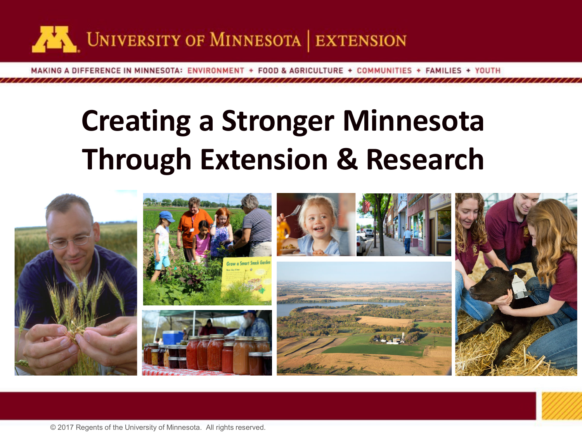

MAKING A DIFFERENCE IN MINNESOTA: ENVIRONMENT + FOOD & AGRICULTURE + COMMUNITIES + FAMILIES + YOUTH

## **Creating a Stronger Minnesota Through Extension & Research**





© 2017 Regents of the University of Minnesota. All rights reserved.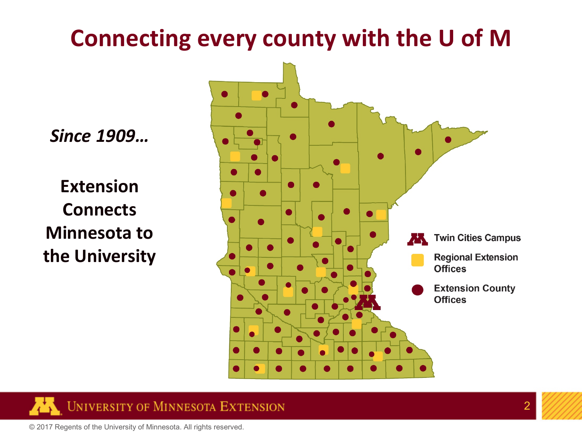#### **Connecting every county with the U of M**

*Since 1909…*

**Extension Connects Minnesota to the University**





© 2017 Regents of the University of Minnesota. All rights reserved.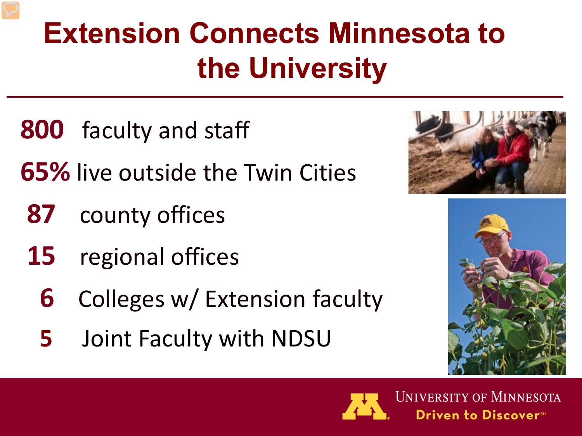## **Extension Connects Minnesota to the University**

- **800** faculty and staff
- **65%** live outside the Twin Cities
	- **87** county offices
	- **15** regional offices
		- **6** Colleges w/ Extension faculty
		- **5** Joint Faculty with NDSU







**UNIVERSITY OF MINNESOTA** Driven to Discover™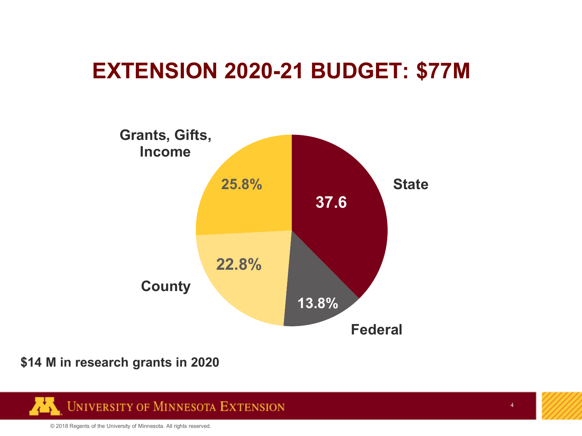#### **EXTENSION 2020-21 BUDGET: \$77M**



#### **\$14 M in research grants in 2020**



© 2018 Regents of the University of Minnesota. All rights reserved.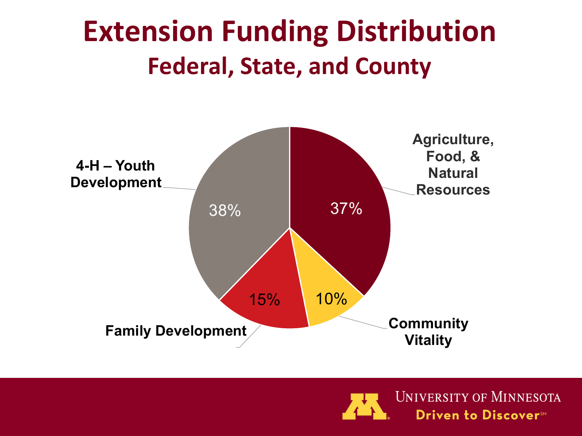## **Extension Funding Distribution Federal, State, and County**



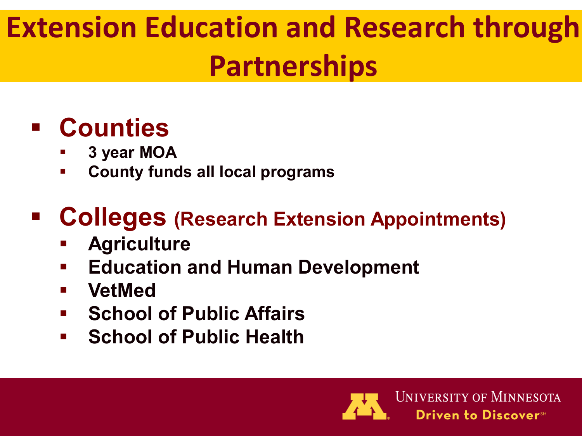## **Extension Education and Research through Partnerships**

#### **Counties**

- **3 year MOA**
- **County funds all local programs**

#### **Colleges (Research Extension Appointments)**

- **Agriculture**
- **Education and Human Development**
- **VetMed**
- **E** School of Public Affairs
- **F** School of Public Health

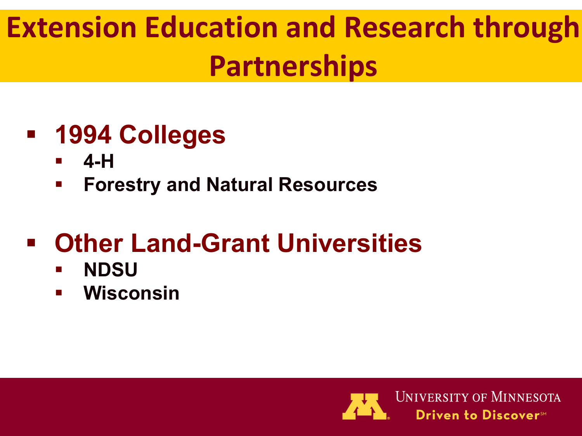## **Extension Education and Research through Partnerships**

#### **1994 Colleges**

- **4-H**
- **Forestry and Natural Resources**

### **Other Land-Grant Universities**

- **NDSU**
- **Wisconsin**



**UNIVERSITY OF MINNESOTA** Driven to Discover™